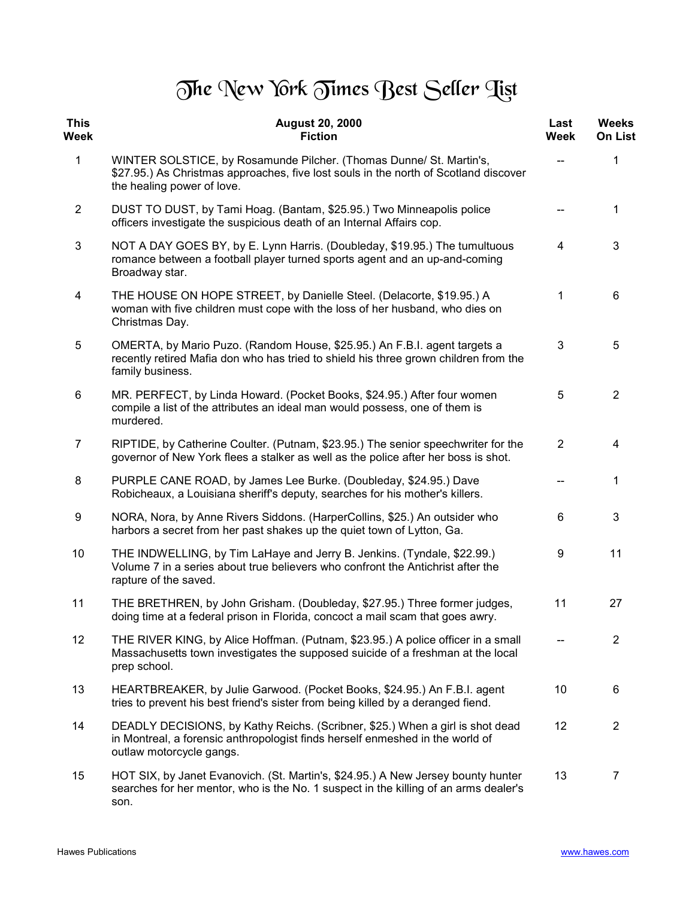## The New York Times Best Seller Tist

| <b>This</b><br><b>Week</b> | <b>August 20, 2000</b><br><b>Fiction</b>                                                                                                                                                   | Last<br>Week   | <b>Weeks</b><br><b>On List</b> |
|----------------------------|--------------------------------------------------------------------------------------------------------------------------------------------------------------------------------------------|----------------|--------------------------------|
| $\mathbf{1}$               | WINTER SOLSTICE, by Rosamunde Pilcher. (Thomas Dunne/ St. Martin's,<br>\$27.95.) As Christmas approaches, five lost souls in the north of Scotland discover<br>the healing power of love.  |                | 1                              |
| $\overline{2}$             | DUST TO DUST, by Tami Hoag. (Bantam, \$25.95.) Two Minneapolis police<br>officers investigate the suspicious death of an Internal Affairs cop.                                             |                | 1                              |
| 3                          | NOT A DAY GOES BY, by E. Lynn Harris. (Doubleday, \$19.95.) The tumultuous<br>romance between a football player turned sports agent and an up-and-coming<br>Broadway star.                 | 4              | 3                              |
| 4                          | THE HOUSE ON HOPE STREET, by Danielle Steel. (Delacorte, \$19.95.) A<br>woman with five children must cope with the loss of her husband, who dies on<br>Christmas Day.                     | 1              | 6                              |
| 5                          | OMERTA, by Mario Puzo. (Random House, \$25.95.) An F.B.I. agent targets a<br>recently retired Mafia don who has tried to shield his three grown children from the<br>family business.      | 3              | 5                              |
| 6                          | MR. PERFECT, by Linda Howard. (Pocket Books, \$24.95.) After four women<br>compile a list of the attributes an ideal man would possess, one of them is<br>murdered.                        | 5              | $\overline{2}$                 |
| $\overline{7}$             | RIPTIDE, by Catherine Coulter. (Putnam, \$23.95.) The senior speechwriter for the<br>governor of New York flees a stalker as well as the police after her boss is shot.                    | $\overline{2}$ | 4                              |
| 8                          | PURPLE CANE ROAD, by James Lee Burke. (Doubleday, \$24.95.) Dave<br>Robicheaux, a Louisiana sheriff's deputy, searches for his mother's killers.                                           |                | 1                              |
| 9                          | NORA, Nora, by Anne Rivers Siddons. (HarperCollins, \$25.) An outsider who<br>harbors a secret from her past shakes up the quiet town of Lytton, Ga.                                       | 6              | 3                              |
| 10                         | THE INDWELLING, by Tim LaHaye and Jerry B. Jenkins. (Tyndale, \$22.99.)<br>Volume 7 in a series about true believers who confront the Antichrist after the<br>rapture of the saved.        | 9              | 11                             |
| 11                         | THE BRETHREN, by John Grisham. (Doubleday, \$27.95.) Three former judges,<br>doing time at a federal prison in Florida, concoct a mail scam that goes awry.                                | 11             | 27                             |
| 12                         | THE RIVER KING, by Alice Hoffman. (Putnam, \$23.95.) A police officer in a small<br>Massachusetts town investigates the supposed suicide of a freshman at the local<br>prep school.        |                | $\overline{2}$                 |
| 13                         | HEARTBREAKER, by Julie Garwood. (Pocket Books, \$24.95.) An F.B.I. agent<br>tries to prevent his best friend's sister from being killed by a deranged fiend.                               | 10             | 6                              |
| 14                         | DEADLY DECISIONS, by Kathy Reichs. (Scribner, \$25.) When a girl is shot dead<br>in Montreal, a forensic anthropologist finds herself enmeshed in the world of<br>outlaw motorcycle gangs. | 12             | $\overline{2}$                 |
| 15                         | HOT SIX, by Janet Evanovich. (St. Martin's, \$24.95.) A New Jersey bounty hunter<br>searches for her mentor, who is the No. 1 suspect in the killing of an arms dealer's<br>son.           | 13             | 7                              |